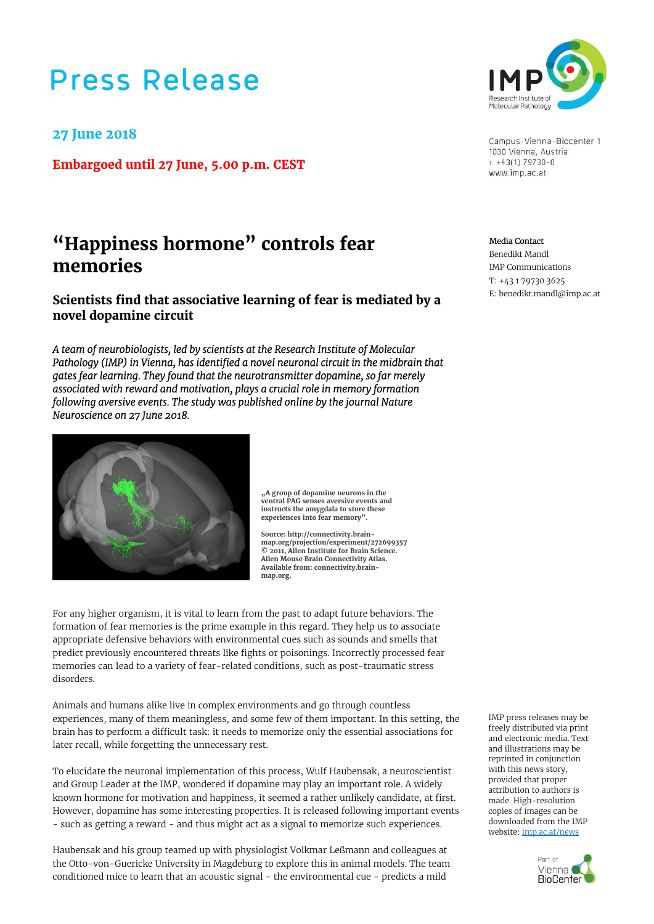# **Press Release**

### **27 June 2018**

**Embargoed until 27 June, 5.00 p.m. CEST** 

## **"Happiness hormone" controls fear memories**

**Scientists find that associative learning of fear is mediated by a novel dopamine circuit** 

*A team of neurobiologists, led by scientists at the Research Institute of Molecular Pathology (IMP) in Vienna, has identified a novel neuronal circuit in the midbrain that gates fear learning. They found that the neurotransmitter dopamine, so far merely associated with reward and motivation, plays a crucial role in memory formation following aversive events. The study was published online by the journal Nature Neuroscience on 27 June 2018.* 



**"A group of dopamine neurons in the ventral PAG senses aversive events and instructs the amygdala to store these experiences into fear memory".** 

**Source: http://connectivity.brainmap.org/projection/experiment/272699357 © 2011, Allen Institute for Brain Science. Allen Mouse Brain Connectivity Atlas. Available from: connectivity.brainmap.org.** 

For any higher organism, it is vital to learn from the past to adapt future behaviors. The formation of fear memories is the prime example in this regard. They help us to associate appropriate defensive behaviors with environmental cues such as sounds and smells that predict previously encountered threats like fights or poisonings. Incorrectly processed fear memories can lead to a variety of fear-related conditions, such as post-traumatic stress disorders.

Animals and humans alike live in complex environments and go through countless experiences, many of them meaningless, and some few of them important. In this setting, the brain has to perform a difficult task: it needs to memorize only the essential associations for later recall, while forgetting the unnecessary rest.

To elucidate the neuronal implementation of this process, Wulf Haubensak, a neuroscientist and Group Leader at the IMP, wondered if dopamine may play an important role. A widely known hormone for motivation and happiness, it seemed a rather unlikely candidate, at first. However, dopamine has some interesting properties. It is released following important events - such as getting a reward - and thus might act as a signal to memorize such experiences.

Haubensak and his group teamed up with physiologist Volkmar Leßmann and colleagues at the Otto-von-Guericke University in Magdeburg to explore this in animal models. The team conditioned mice to learn that an acoustic signal - the environmental cue - predicts a mild



Campus-Vienna-Biocenter 1 1030 Vienna, Austria  $T + 43(1) 79730 - 0$ www.imp.ac.at

Media Contact

 Benedikt Mandl IMP Communications T: +43 1 79730 3625 E: benedikt.mandl@imp.ac.at

IMP press releases may be freely distributed via print and electronic media. Text and illustrations may be reprinted in conjunction with this news story, provided that proper attribution to authors is made. High-resolution copies of images can be downloaded from the IMP website: imp.ac.at/news